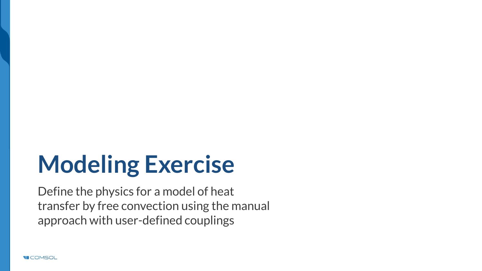# **Modeling Exercise**

Define the physics for a model of heat transfer by free convection using the manual approach with user-defined couplings

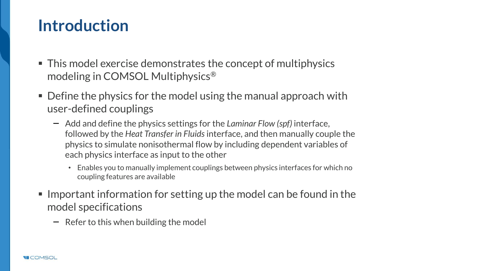### **Introduction**

- This model exercise demonstrates the concept of multiphysics modeling in COMSOL Multiphysics®
- $\blacksquare$  Define the physics for the model using the manual approach with user-defined couplings
	- Add and define the physics settings for the *Laminar Flow (spf)* interface, followed by the *Heat Transfer in Fluids* interface, and then manually couple the physics to simulate nonisothermal flow by including dependent variables of each physics interface as input to the other
		- Enables you to manually implement couplings between physics interfaces for which no coupling features are available
- $\blacksquare$  Important information for setting up the model can be found in the model specifications
	- $\overline{\phantom{a}}$  Refer to this when building the model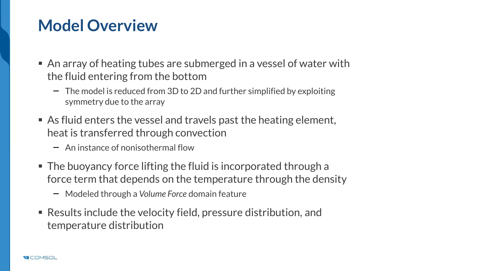# **Model Overview**

- $\blacksquare$  An array of heating tubes are submerged in a vessel of water with the fluid entering from the bottom
	- $-$  The model is reduced from 3D to 2D and further simplified by exploiting symmetry due to the array
- $\blacksquare$  As fluid enters the vessel and travels past the heating element, heat is transferred through convection
	- An instance of nonisothermal flow
- $\blacksquare$  The buoyancy force lifting the fluid is incorporated through a force term that depends on the temperature through the density
	- Modeled through a *Volume Force* domain feature
- $\blacksquare$  Results include the velocity field, pressure distribution, and temperature distribution

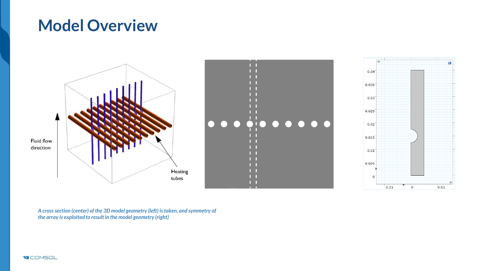### **Model Overview**



m

 $0.01$ 

*A cross section (center) of the 3D model geometry (left) is taken, and symmetry of the array is exploited to result in the model geometry (right)*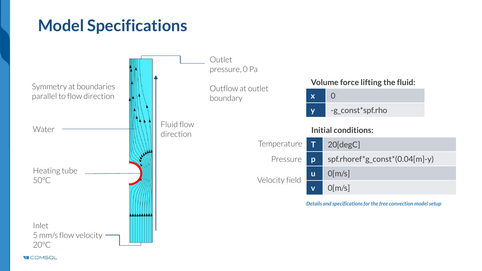# **Model Specifications**

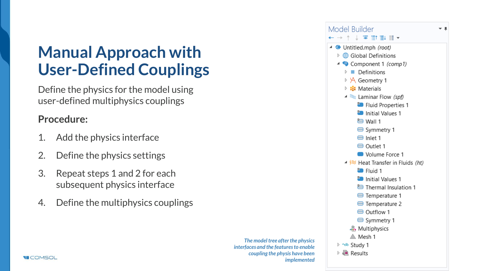# **Manual Approach with User-Defined Couplings**

Define the physics for the model using user-defined multiphysics couplings

#### **Procedure:**

- 1. Add the physics interface
- 2. Define the physics settings
- 3. Repeat steps 1 and 2 for each subsequent physics interface
- 4. Define the multiphysics couplings

*The model tree after the physics interfaces and the features to enable coupling the physis have been implemented*



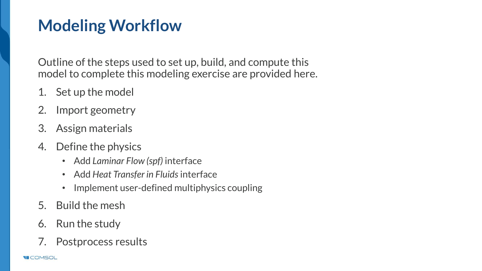# **Modeling Workflow**

Outline of the steps used to set up, build, and compute this model to complete this modeling exercise are provided here.

- 1. Set up the model
- 2. Import geometry
- 3. Assign materials
- 4. Define the physics
	- Add *Laminar Flow (spf)* interface
	- Add *Heat Transfer in Fluids* interface
	- Implement user-defined multiphysics coupling
- 5. Build the mesh
- 6. Run the study
- 7. Postprocess results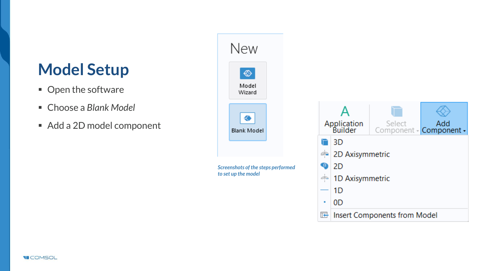# **Model Setup**

- Open the software
- Choose a *Blank Model*
- Add a 2D model component



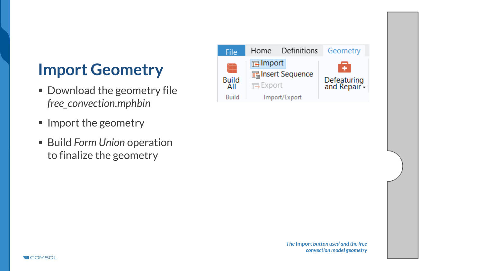# **Import Geometry**

- Download the geometry file *free\_convection.mphbin*
- Import the geometry
- Build *Form Union* operation to finalize the geometry



*The* **Import** *button used and the free convection model geometry*

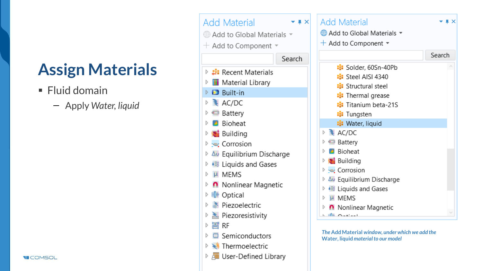# **Assign Materials**

■ Fluid domain

**VICOMSOL** 

Apply *Water, liquid*

| <b>Add Material</b><br>$ \sqrt{2}$            | Ad                    |
|-----------------------------------------------|-----------------------|
| He Add to Global Materials ▼                  | ⊕∕                    |
| $+$ Add to Component                          | $+$ $\mu$             |
| Search                                        |                       |
| ▷ # Recent Materials                          |                       |
| <b>TI</b> Material Library<br>Þ               |                       |
| $\triangleright$ $\blacksquare$ Built-in      |                       |
| $\triangleright$ <b>AC/DC</b>                 |                       |
| ▷ □ Battery                                   |                       |
| Bioheat<br>D                                  |                       |
| <b>Building</b>                               |                       |
| े <u>ख</u> Corrosion                          | 哐                     |
| ▷ Au Equilibrium Discharge                    |                       |
| <b>D</b> $\triangle$ Liquids and Gases        |                       |
| µ MEMS<br>d                                   | $\sim$<br>$\triangle$ |
| <b>n</b> Nonlinear Magnetic<br>Þ              | ô,                    |
| ▷ II <sup>I</sup> Optical                     | j                     |
| <b>Exercise</b> Piezoelectric                 |                       |
| $\triangleright$ $\triangle$ Piezoresistivity | πf                    |
| ▷ 圖 RF                                        |                       |
| Semiconductors<br>D                           | The.<br>Wat           |
| <b>▶ ★ Thermoelectric</b>                     |                       |
| ▷ <i>d</i> iiil User-Defined Library          |                       |

| <b>Add Material</b>              |        |
|----------------------------------|--------|
| <b>Add to Global Materials ▼</b> |        |
| $+$ Add to Component $\sim$      |        |
|                                  |        |
|                                  | Search |
| <b>E</b> Solder, 60Sn-40Pb       |        |
| ii: Steel AISI 4340              |        |
| <b>El</b> Structural steel       |        |
| <b>:</b> Thermal grease          |        |
| <b>E</b> Titanium beta-21S       |        |
| <b>非</b> Tungsten                |        |
| : Water, liquid                  |        |
| $\triangleq$ AC/DC<br>D          |        |
| <b>Battery</b>                   |        |
| <b>B</b> Bioheat                 |        |
| <b>Building</b>                  |        |
| े <u>-</u> Corrosion             |        |
| Δυ Equilibrium Discharge         |        |
| • is Liquids and Gases           |        |
| $\mu$ MFMS<br>D                  |        |
| Nonlinear Magnetic               |        |
| للممتعمد والألا                  |        |

*The* **Add Material** *window, under which we add the*  **Water, liquid** *materialto our model*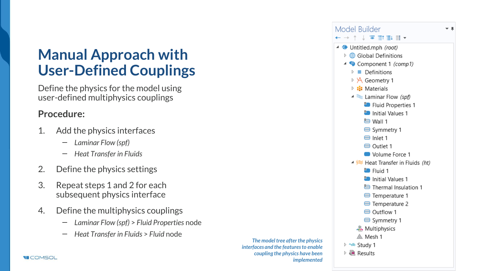### **Manual Approach with User-Defined Couplings**

Define the physics for the model using user-defined multiphysics couplings

#### **Procedure:**

- 1. Add the physics interfaces
	- *Laminar Flow (spf)*
	- *Heat Transfer in Fluids*
- 2. Define the physics settings
- 3. Repeat steps 1 and 2 for each subsequent physics interface
- 4. Define the multiphysics couplings
	- *Laminar Flow (spf)* > *Fluid Properties* node
	- *Heat Transfer in Fluids* > *Fluid* node

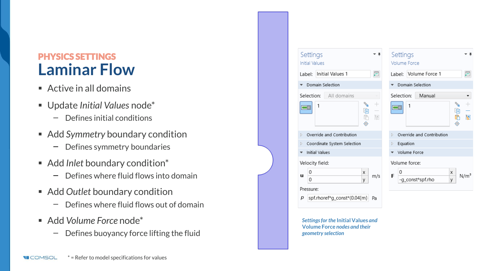### PHYSICS SETTINGS **Laminar Flow**

- $\blacksquare$  Active in all domains
- Update *Initial Values* node\*
	- Defines initial conditions  $\qquad \qquad -$
- Add *Symmetry* boundary condition
	- Defines symmetry boundaries  $\overline{\phantom{0}}$
- Add *Inlet* boundary condition<sup>\*</sup>
	- Defines where fluid flows into domain  $\qquad \qquad -$
- Add *Outlet* boundary condition
	- Defines where fluid flows out of domain  $\equiv$
- Add *Volume Force* node\*
	- Defines buoyancy force lifting the fluid  $\overline{\phantom{0}}$

|                          | Settings                       | ш                                | Settings                            |
|--------------------------|--------------------------------|----------------------------------|-------------------------------------|
|                          | <b>Initial Values</b>          |                                  | Volume Force                        |
|                          | Label: Initial Values 1        | 凬                                | Label: Volume Force 1               |
|                          | Domain Selection               |                                  | Domain Selection                    |
|                          | Selection: All domains         |                                  | Selection:<br>Manual                |
|                          | <b>PAS</b><br>1<br>咱<br>t<br>⊕ | $\pm$<br>$\qquad \qquad -$<br>V. | <b>PARTIES</b><br>1<br>咱<br>Õ<br>÷, |
| D.                       | Override and Contribution      |                                  | Override and Contribution<br>D.     |
| Þ                        | Coordinate System Selection    |                                  | Equation<br>D.                      |
| $\overline{\phantom{a}}$ | <b>Initial Values</b>          |                                  | Volume Force                        |
|                          | Velocity field:                |                                  | Volume force:                       |
| u                        | 0<br>X                         | m/s                              | 0<br>X<br>E<br>N/m                  |
|                          | 0<br>y                         |                                  | -g_const*spf.rho<br>y               |
|                          | Pressure:                      |                                  |                                     |
| р                        | spf.rhoref*g_const*(0.04[m] Pa |                                  |                                     |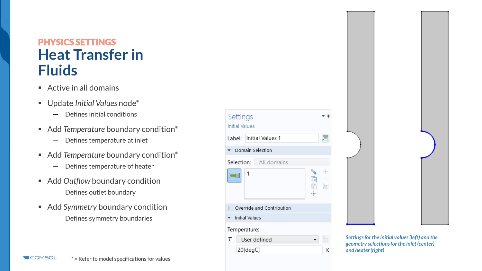### PHYSICS SETTINGS **Heat Transfer in Fluids**

- $\blacksquare$  Active in all domains
- Update *Initial Values* node\*
	- Defines initial conditions  $\qquad \qquad -$
- Add *Temperature* boundary condition<sup>\*</sup>
	- Defines temperature at inlet  $\overline{\phantom{m}}$
- Add *Temperature* boundary condition<sup>\*</sup>
	- Defines temperature of heater  $\overline{\phantom{m}}$
- Add *Outflow* boundary condition
	- Defines outlet boundary  $\qquad \qquad -$
- Add *Symmetry* boundary condition
	- Defines symmetry boundaries





*Settings for the initial values (left) and the geometry selections for the inlet (center) and heater (right)*

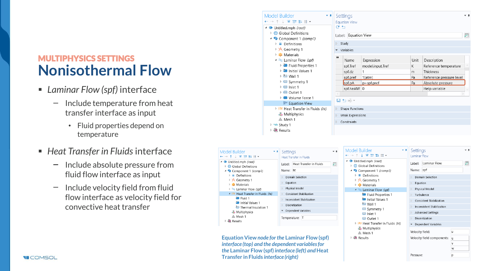- *Laminar Flow (spf)* interface
	- Include temperature from heat  $\overline{\phantom{0}}$ transfer interface as input
		- Fluid properties depend on temperature
- *Heat Transfer in Fluids* interface
	- Include absolute pressure from  $\qquad \qquad$ fluid flow interface as input
	- Include velocity field from fluid flow interface as velocity field for convective heat transfer

| Model Builder<br>← → ↑↓ る 計 ま 目▼<br>▲ <b>◆</b> Untitled.mph (root)<br>$\triangleright$ $\bigoplus$ Global Definitions<br>4 Component 1 (comp1)<br>$\triangleright$ $\equiv$ Definitions<br>▷ y Geometry 1<br><b>E:</b> Materials<br>▲ Laminar Flow (spf)<br><b>P</b> Fluid Properties 1<br><b>D</b> Initial Values 1<br>$\triangleright$ $\ominus$ Wall 1<br>$\triangleright \implies$ Symmetry 1<br>$\triangleright \bigoplus$ Inlet 1<br>$\triangleright \bigoplus$ Outlet 1<br>$\triangleright$ $\blacksquare$ Volume Force 1<br>auf Equation View<br>$\triangleright$ $\in$ Heat Transfer in Fluids (ht)<br><b>Multiphysics</b><br>▲ Mesh 1<br>▷ ~ Study 1<br>▷ Ill Results | ₩<br>D.<br>D. | Name<br>spf.Tref | Expression<br>model.input.Tref<br>1<br>1[atm]<br>p+spf.pref                                                                                                  | Κ<br>m<br>Pa<br>Pa                                                                                                                                                                                                                                                                                                                         | Description<br>Reference temperature<br>Thickness<br>Reference pressure level<br>Absolute pressure<br>Help variable | $-1$<br>肩                                                                                                                                                                                                                                                                                                                                          |
|---------------------------------------------------------------------------------------------------------------------------------------------------------------------------------------------------------------------------------------------------------------------------------------------------------------------------------------------------------------------------------------------------------------------------------------------------------------------------------------------------------------------------------------------------------------------------------------------------------------------------------------------------------------------------------|---------------|------------------|--------------------------------------------------------------------------------------------------------------------------------------------------------------|--------------------------------------------------------------------------------------------------------------------------------------------------------------------------------------------------------------------------------------------------------------------------------------------------------------------------------------------|---------------------------------------------------------------------------------------------------------------------|----------------------------------------------------------------------------------------------------------------------------------------------------------------------------------------------------------------------------------------------------------------------------------------------------------------------------------------------------|
| Settings<br>٠ŧ<br>Heat Transfer in Fluids<br>Label; Heat Transfer in Fluids<br>Name: ht<br>Domain Selection<br>$\triangleright$ Equation<br>Physical Model<br>D.<br>▲ $\approx$ Heat Transfer in Fluids (ht)<br><b>Consistent Stabilization</b><br><b>Inconsistent Stabilization</b><br><b>Discretization</b><br>Dependent Variables<br>Temperature: T                                                                                                                                                                                                                                                                                                                          |               |                  | <b>P</b> Fluid Properties 1<br>Initial Values 1<br><b><sup>■</sup></b> Wall 1<br>Symmetry 1<br>$\bigoplus$ Inlet 1<br>$\ominus$ Outlet 1                     | b.<br>b.<br>D.<br>b.                                                                                                                                                                                                                                                                                                                       |                                                                                                                     | $-1$<br>启                                                                                                                                                                                                                                                                                                                                          |
|                                                                                                                                                                                                                                                                                                                                                                                                                                                                                                                                                                                                                                                                                 |               | $\sim$ 1<br>屇    | Settings<br><b>Equation View</b><br>G P<br>$\triangleright$ Study<br>variables<br>spf.dz<br>spf.pref<br>spf.pA<br>$\Box$ $\Box$ $\Box$ $\Box$<br>Constraints | Label: Equation View<br>spf.hasWF 0<br><b>Shape Functions</b><br>Weak Expressions<br>Model Builder<br>←→↑↓▼Ⅲ↓Ⅱ▼<br>▲ ◆ Untitled.mph (root)<br>$\triangleright$ $\oplus$ Global Definitions<br>▲ © Component 1 (comp1)<br>$\triangleright$ $\equiv$ Definitions<br>▷ y Geometry 1<br><b>E:</b> Materials<br>$\triangleq$ Laminar Flow (spf) | v.e.                                                                                                                | Unit<br>Settings<br>Laminar Flow<br>Label: Laminar Flow<br>Name: spf<br><b>Domain Selection</b><br>$\triangleright$ Equation<br>Physical Model<br>Turbulence<br><b>Consistent Stabilization</b><br>Inconsistent Stabilization<br>Advanced Settings<br>Discretization<br>$\triangleright$ $\in$ Heat Transfer in Fluids (ht)<br>Dependent Variables |

▷ 画 Results

Velocity field components: u

Pressure:

 $\mathbf{v}$ w

 $\mathsf{D}$ 

**Equation View** *node for the* **Laminar Flow (spf)**  *interface (top) and the dependent variables for the* **Laminar Flow (spf)** *interface (left) and* **Heat Transfer in Fluids** *interface (right)*

Model Bu  $\leftrightarrow$  +  $\perp$ 

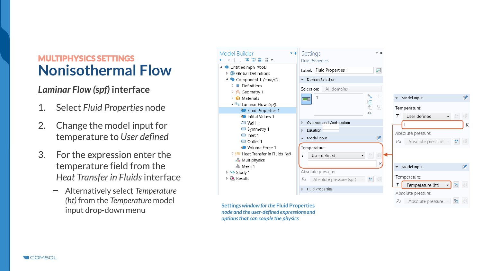### *Laminar Flow (spf)* **interface**

- 1. Select *Fluid Properties* node
- 2. Change the model input for temperature to *User defined*
- 3. For the expression enter the temperature field from the *Heat Transfer in Fluids* interface
	- Alternatively select *Temperature*   $\overline{\phantom{0}}$ *(ht)* from the *Temperature* model

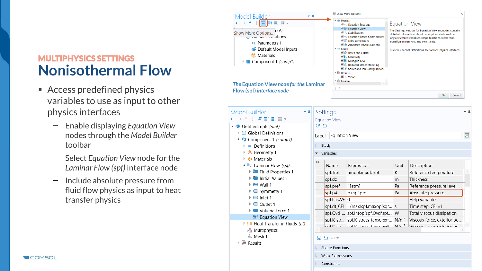- Access predefined physics variables to use as input to other physics interfaces
	- Enable displaying *Equation View*   $\overline{\phantom{0}}$ nodes through the *Model Builder*  toolbar
	- $\qquad \qquad -$ Select *Equation View* node for the *Laminar Flow (spf)* interface node
	- $\overline{\phantom{0}}$ Include absolute pressure from fluid flow physics as input to heat transfer physics

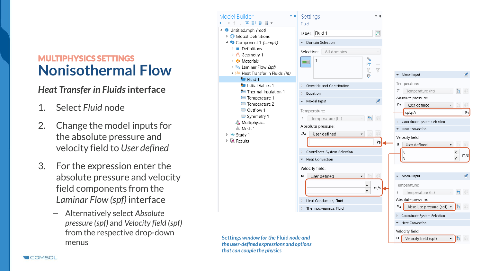### *Heat Transfer in Fluids* **interface**

- 1. Select *Fluid* node
- 2. Change the model inputs for the absolute pressure and velocity field to *User defined*
- 3. For the expression enter the absolute pressure and velocity field components from the *Laminar Flow (spf)* interface
	- Alternatively select *Absolute*   $\overline{\phantom{m}}$ *pressure (spf)* and *Velocity field (spf)*  from the respective drop-down menus

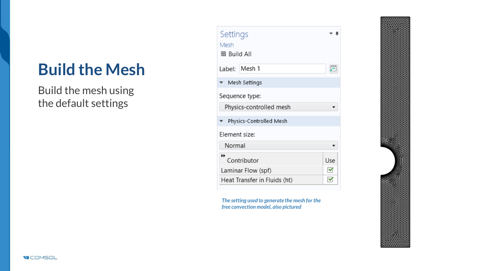# **Build the Mesh**

Build the mesh using the default settings

| Settings<br>Mesh<br>■ Build All    |              |
|------------------------------------|--------------|
| Label: Mesh 1                      |              |
| $\blacktriangledown$ Mesh Settings |              |
| Sequence type:                     |              |
| Physics-controlled mesh            |              |
| ▼ Physics-Controlled Mesh          |              |
| Element size:                      |              |
| Normal                             |              |
| ₩<br>Contributor                   | Use          |
| Laminar Flow (spf)                 | $\checkmark$ |
| Heat Transfer in Fluids (ht)       | v            |

*The setting used to generate the mesh for the free convection model, also pictured*



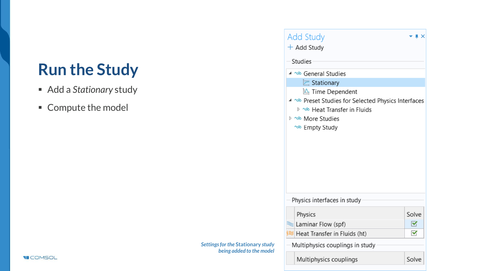# **Run the Study**

- Add a *Stationary* study
- Compute the model

| $+$ Add Study                                         |       |
|-------------------------------------------------------|-------|
| Studies                                               |       |
| 4 % General Studies                                   |       |
| $\mathbb E$ Stationary                                |       |
| $\mathbb{E}$ Time Dependent                           |       |
| 4 ~® Preset Studies for Selected Physics Interfaces   |       |
| <sup>&gt;</sup> থ্রু Heat Transfer in Fluids          |       |
| <sup>চ</sup> ^® More Studies                          |       |
| <sup>∿®</sup> Empty Study                             |       |
|                                                       |       |
|                                                       |       |
|                                                       |       |
|                                                       |       |
|                                                       |       |
|                                                       |       |
|                                                       |       |
| Physics interfaces in study                           |       |
|                                                       | Solve |
| Physics                                               | ✔     |
| ≥ Heat Transfer in Fluids (ht)                        | ✓     |
| kaminar Flow (spf)<br>Multiphysics couplings in study |       |

*Settings for the* **Stationary** *study being added to the model*